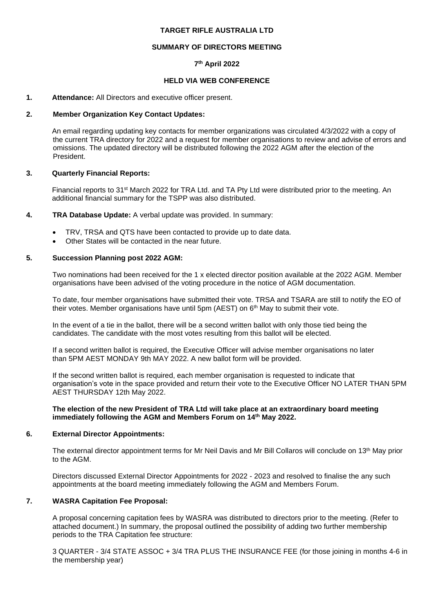## **TARGET RIFLE AUSTRALIA LTD**

## **SUMMARY OF DIRECTORS MEETING**

# **7 th April 2022**

## **HELD VIA WEB CONFERENCE**

#### **1. Attendance:** All Directors and executive officer present.

#### **2. Member Organization Key Contact Updates:**

An email regarding updating key contacts for member organizations was circulated 4/3/2022 with a copy of the current TRA directory for 2022 and a request for member organisations to review and advise of errors and omissions. The updated directory will be distributed following the 2022 AGM after the election of the President.

## **3. Quarterly Financial Reports:**

Financial reports to 31st March 2022 for TRA Ltd. and TA Pty Ltd were distributed prior to the meeting. An additional financial summary for the TSPP was also distributed.

#### **4. TRA Database Update:** A verbal update was provided. In summary:

- TRV, TRSA and QTS have been contacted to provide up to date data.
- Other States will be contacted in the near future.

## **5. Succession Planning post 2022 AGM:**

Two nominations had been received for the 1 x elected director position available at the 2022 AGM. Member organisations have been advised of the voting procedure in the notice of AGM documentation.

To date, four member organisations have submitted their vote. TRSA and TSARA are still to notify the EO of their votes. Member organisations have until 5pm ( $AEST$ ) on  $6<sup>th</sup>$  May to submit their vote.

In the event of a tie in the ballot, there will be a second written ballot with only those tied being the candidates. The candidate with the most votes resulting from this ballot will be elected.

If a second written ballot is required, the Executive Officer will advise member organisations no later than 5PM AEST MONDAY 9th MAY 2022. A new ballot form will be provided.

If the second written ballot is required, each member organisation is requested to indicate that organisation's vote in the space provided and return their vote to the Executive Officer NO LATER THAN 5PM AEST THURSDAY 12th May 2022.

#### **The election of the new President of TRA Ltd will take place at an extraordinary board meeting immediately following the AGM and Members Forum on 14th May 2022.**

## **6. External Director Appointments:**

The external director appointment terms for Mr Neil Davis and Mr Bill Collaros will conclude on 13<sup>th</sup> May prior to the AGM.

Directors discussed External Director Appointments for 2022 - 2023 and resolved to finalise the any such appointments at the board meeting immediately following the AGM and Members Forum.

# **7. WASRA Capitation Fee Proposal:**

A proposal concerning capitation fees by WASRA was distributed to directors prior to the meeting. (Refer to attached document.) In summary, the proposal outlined the possibility of adding two further membership periods to the TRA Capitation fee structure:

3 QUARTER - 3/4 STATE ASSOC + 3/4 TRA PLUS THE INSURANCE FEE (for those joining in months 4-6 in the membership year)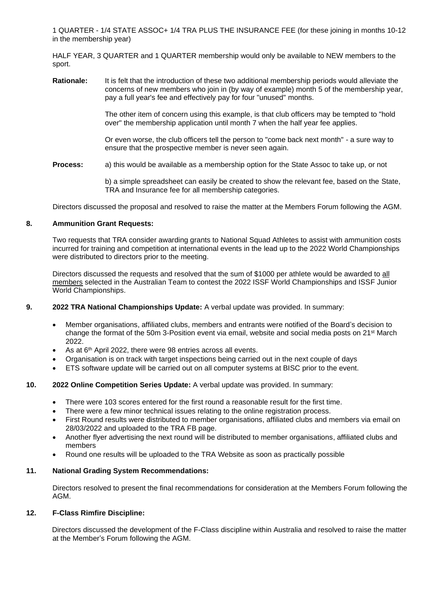1 QUARTER - 1/4 STATE ASSOC+ 1/4 TRA PLUS THE INSURANCE FEE (for these joining in months 10-12 in the membership year)

HALF YEAR, 3 QUARTER and 1 QUARTER membership would only be available to NEW members to the sport.

**Rationale:** It is felt that the introduction of these two additional membership periods would alleviate the concerns of new members who join in (by way of example) month 5 of the membership year, pay a full year's fee and effectively pay for four "unused" months.

> The other item of concern using this example, is that club officers may be tempted to "hold over" the membership application until month 7 when the half year fee applies.

> Or even worse, the club officers tell the person to "come back next month" - a sure way to ensure that the prospective member is never seen again.

**Process:** a) this would be available as a membership option for the State Assoc to take up, or not

b) a simple spreadsheet can easily be created to show the relevant fee, based on the State, TRA and Insurance fee for all membership categories.

Directors discussed the proposal and resolved to raise the matter at the Members Forum following the AGM.

## **8. Ammunition Grant Requests:**

Two requests that TRA consider awarding grants to National Squad Athletes to assist with ammunition costs incurred for training and competition at international events in the lead up to the 2022 World Championships were distributed to directors prior to the meeting.

Directors discussed the requests and resolved that the sum of \$1000 per athlete would be awarded to all members selected in the Australian Team to contest the 2022 ISSF World Championships and ISSF Junior World Championships.

# **9. 2022 TRA National Championships Update:** A verbal update was provided. In summary:

- Member organisations, affiliated clubs, members and entrants were notified of the Board's decision to change the format of the 50m 3-Position event via email, website and social media posts on 21st March 2022.
- $\bullet$  As at 6<sup>th</sup> April 2022, there were 98 entries across all events.
- Organisation is on track with target inspections being carried out in the next couple of days
- ETS software update will be carried out on all computer systems at BISC prior to the event.

# **10. 2022 Online Competition Series Update:** A verbal update was provided. In summary:

- There were 103 scores entered for the first round a reasonable result for the first time.
- There were a few minor technical issues relating to the online registration process.
- First Round results were distributed to member organisations, affiliated clubs and members via email on 28/03/2022 and uploaded to the TRA FB page.
- Another flyer advertising the next round will be distributed to member organisations, affiliated clubs and members
- Round one results will be uploaded to the TRA Website as soon as practically possible

#### **11. National Grading System Recommendations:**

Directors resolved to present the final recommendations for consideration at the Members Forum following the AGM.

#### **12. F-Class Rimfire Discipline:**

Directors discussed the development of the F-Class discipline within Australia and resolved to raise the matter at the Member's Forum following the AGM.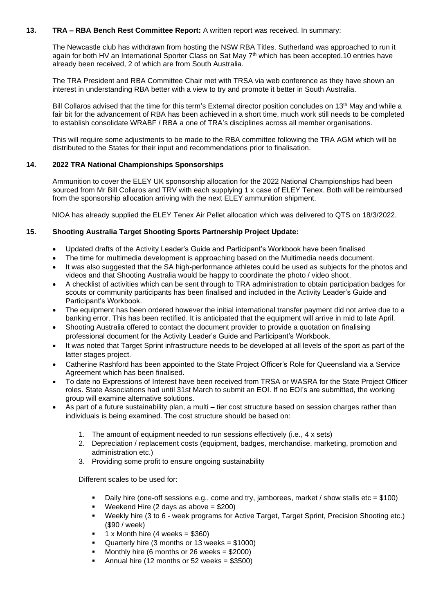# **13. TRA – RBA Bench Rest Committee Report:** A written report was received. In summary:

The Newcastle club has withdrawn from hosting the NSW RBA Titles. Sutherland was approached to run it again for both HV an International Sporter Class on Sat May 7<sup>th</sup> which has been accepted.10 entries have already been received, 2 of which are from South Australia.

The TRA President and RBA Committee Chair met with TRSA via web conference as they have shown an interest in understanding RBA better with a view to try and promote it better in South Australia.

Bill Collaros advised that the time for this term's External director position concludes on 13<sup>th</sup> May and while a fair bit for the advancement of RBA has been achieved in a short time, much work still needs to be completed to establish consolidate WRABF / RBA a one of TRA's disciplines across all member organisations.

This will require some adjustments to be made to the RBA committee following the TRA AGM which will be distributed to the States for their input and recommendations prior to finalisation.

# **14. 2022 TRA National Championships Sponsorships**

Ammunition to cover the ELEY UK sponsorship allocation for the 2022 National Championships had been sourced from Mr Bill Collaros and TRV with each supplying 1 x case of ELEY Tenex. Both will be reimbursed from the sponsorship allocation arriving with the next ELEY ammunition shipment.

NIOA has already supplied the ELEY Tenex Air Pellet allocation which was delivered to QTS on 18/3/2022.

## **15. Shooting Australia Target Shooting Sports Partnership Project Update:**

- Updated drafts of the Activity Leader's Guide and Participant's Workbook have been finalised
- The time for multimedia development is approaching based on the Multimedia needs document.
- It was also suggested that the SA high-performance athletes could be used as subjects for the photos and videos and that Shooting Australia would be happy to coordinate the photo / video shoot.
- A checklist of activities which can be sent through to TRA administration to obtain participation badges for scouts or community participants has been finalised and included in the Activity Leader's Guide and Participant's Workbook.
- The equipment has been ordered however the initial international transfer payment did not arrive due to a banking error. This has been rectified. It is anticipated that the equipment will arrive in mid to late April.
- Shooting Australia offered to contact the document provider to provide a quotation on finalising professional document for the Activity Leader's Guide and Participant's Workbook.
- It was noted that Target Sprint infrastructure needs to be developed at all levels of the sport as part of the latter stages project.
- Catherine Rashford has been appointed to the State Project Officer's Role for Queensland via a Service Agreement which has been finalised.
- To date no Expressions of Interest have been received from TRSA or WASRA for the State Project Officer roles. State Associations had until 31st March to submit an EOI. If no EOI's are submitted, the working group will examine alternative solutions.
- As part of a future sustainability plan, a multi tier cost structure based on session charges rather than individuals is being examined. The cost structure should be based on:
	- 1. The amount of equipment needed to run sessions effectively (i.e., 4 x sets)
	- 2. Depreciation / replacement costs (equipment, badges, merchandise, marketing, promotion and administration etc.)
	- 3. Providing some profit to ensure ongoing sustainability

Different scales to be used for:

- Daily hire (one-off sessions e.g., come and try, jamborees, market / show stalls etc = \$100)
- Weekend Hire (2 days as above  $= $200$ )
- Weekly hire (3 to 6 week programs for Active Target, Target Sprint, Precision Shooting etc.) (\$90 / week)
- 1 x Month hire  $(4 \text{ weeks} = $360)$
- Quarterly hire (3 months or 13 weeks  $= $1000$ )
- Monthly hire (6 months or 26 weeks  $= $2000$ )
- Annual hire (12 months or  $52$  weeks = \$3500)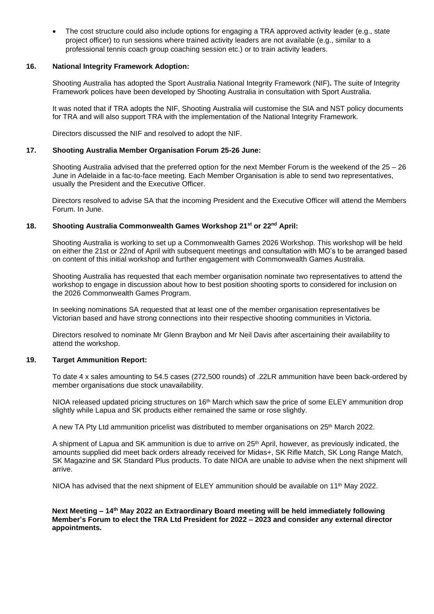• The cost structure could also include options for engaging a TRA approved activity leader (e.g., state project officer) to run sessions where trained activity leaders are not available (e.g., similar to a professional tennis coach group coaching session etc.) or to train activity leaders.

### **16. National Integrity Framework Adoption:**

Shooting Australia has adopted the Sport Australia National Integrity Framework (NIF)**.** The suite of Integrity Framework polices have been developed by Shooting Australia in consultation with Sport Australia.

It was noted that if TRA adopts the NIF, Shooting Australia will customise the SIA and NST policy documents for TRA and will also support TRA with the implementation of the National Integrity Framework.

Directors discussed the NIF and resolved to adopt the NIF.

# **17. Shooting Australia Member Organisation Forum 25-26 June:**

Shooting Australia advised that the preferred option for the next Member Forum is the weekend of the 25 – 26 June in Adelaide in a fac-to-face meeting. Each Member Organisation is able to send two representatives, usually the President and the Executive Officer.

Directors resolved to advise SA that the incoming President and the Executive Officer will attend the Members Forum. In June.

## **18. Shooting Australia Commonwealth Games Workshop 21st or 22nd April:**

Shooting Australia is working to set up a Commonwealth Games 2026 Workshop. This workshop will be held on either the 21st or 22nd of April with subsequent meetings and consultation with MO's to be arranged based on content of this initial workshop and further engagement with Commonwealth Games Australia.

Shooting Australia has requested that each member organisation nominate two representatives to attend the workshop to engage in discussion about how to best position shooting sports to considered for inclusion on the 2026 Commonwealth Games Program.

In seeking nominations SA requested that at least one of the member organisation representatives be Victorian based and have strong connections into their respective shooting communities in Victoria.

Directors resolved to nominate Mr Glenn Braybon and Mr Neil Davis after ascertaining their availability to attend the workshop.

#### **19. Target Ammunition Report:**

To date 4 x sales amounting to 54.5 cases (272,500 rounds) of .22LR ammunition have been back-ordered by member organisations due stock unavailability.

NIOA released updated pricing structures on 16<sup>th</sup> March which saw the price of some ELEY ammunition drop slightly while Lapua and SK products either remained the same or rose slightly.

A new TA Pty Ltd ammunition pricelist was distributed to member organisations on 25<sup>th</sup> March 2022.

A shipment of Lapua and SK ammunition is due to arrive on 25<sup>th</sup> April, however, as previously indicated, the amounts supplied did meet back orders already received for Midas+, SK Rifle Match, SK Long Range Match, SK Magazine and SK Standard Plus products. To date NIOA are unable to advise when the next shipment will arrive.

NIOA has advised that the next shipment of ELEY ammunition should be available on 11<sup>th</sup> May 2022.

**Next Meeting – 14th May 2022 an Extraordinary Board meeting will be held immediately following Member's Forum to elect the TRA Ltd President for 2022 – 2023 and consider any external director appointments.**